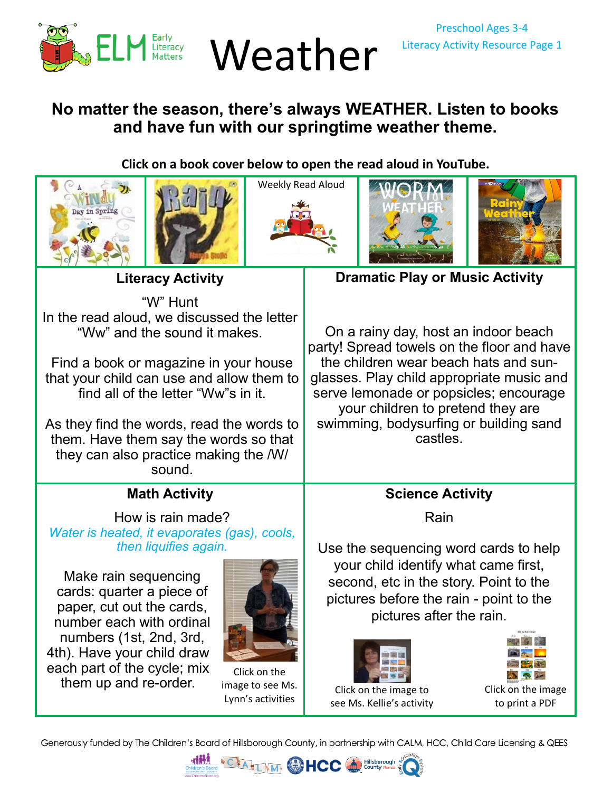

## **No matter the season, there's always WEATHER. Listen to books and have fun with our springtime weather theme.**

**Click on a book cover below to open the read aloud in YouTube.** 











**Literacy Activity**

"W" Hunt In the read aloud, we discussed the letter "Ww" and the sound it makes.

Find a book or magazine in your house that your child can use and allow them to find all of the letter "Ww"s in it.

As they find the words, read the words to them. Have them say the words so that they can also practice making the /W/ sound.

## **Math Activity**

How is rain made? *Water is heated, it evaporates (gas), cools, then liquifies again.* 

Make rain sequencing cards: quarter a piece of paper, cut out the cards, number each with ordinal numbers (1st, 2nd, 3rd, 4th). Have your child draw each part of the cycle; mix them up and re-order.



Click on the [image to see Ms.](https://youtu.be/R_MPmpcIiY8)  Lynn's activities

**Dramatic Play or Music Activity**

On a rainy day, host an indoor beach party! Spread towels on the floor and have the children wear beach hats and sunglasses. Play child appropriate music and serve lemonade or popsicles; encourage your children to pretend they are swimming, bodysurfing or building sand castles.

## **Science Activity**

Rain

Use the sequencing word cards to help your child identify what came first, second, etc in the story. Point to the pictures before the rain - point to the pictures after the rain.



[Click on the image to](https://youtu.be/4yAwXn_Pd0o)  see Ms. Kellie's activity



[Click on the image](https://26d1cb60-a951-4721-b330-1bf8fd66c702.filesusr.com/ugd/6d6c33_dae902a175f441058fc7cace2a1ec3b7.pdf) to print a PDF

Generously funded by The Children's Board of Hillsborough County, in partnership with CALM, HCC, Child Care Licensing & QEES

**HCC**